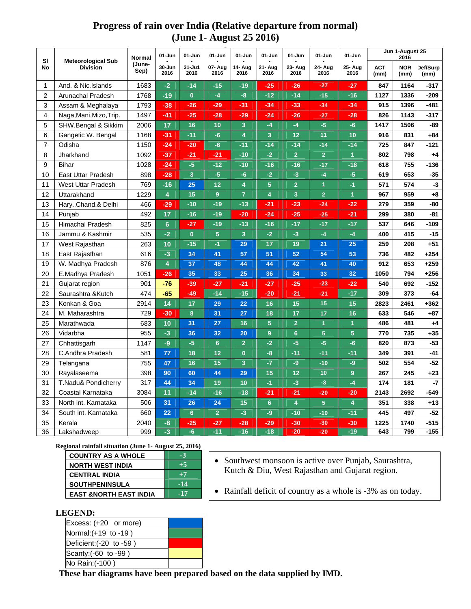## **Progress of rain over India (Relative departure from normal) (June 1- August 25 2016)**

| <b>SI</b><br><b>No</b> | <b>Meteorological Sub</b><br><b>Division</b> | Normal<br>(June-<br>Sep) | 01-Jun                  | 01-Jun<br>01-Jun<br>01-Jun<br>01-Jun<br>01-Jun<br>01-Jun |                 |                 |                         |                 | 01-Jun          | Jun 1-August 25<br>2016 |                    |                    |                  |
|------------------------|----------------------------------------------|--------------------------|-------------------------|----------------------------------------------------------|-----------------|-----------------|-------------------------|-----------------|-----------------|-------------------------|--------------------|--------------------|------------------|
|                        |                                              |                          | $30 - Jun$<br>2016      | $31 - Ju1$<br>2016                                       | 07- Aug<br>2016 | 14- Aug<br>2016 | 21- Aug<br>2016         | 23- Aug<br>2016 | 24- Aug<br>2016 | 25- Aug<br>2016         | <b>ACT</b><br>(mm) | <b>NOR</b><br>(mm) | Def/Surp<br>(mm) |
| 1                      | And. & Nic.Islands                           | 1683                     | $-2$                    | $-14$                                                    | $-15$           | $-19$           | $-25$                   | $-26$           | $-27$           | $-27$                   | 847                | 1164               | -317             |
| $\boldsymbol{2}$       | Arunachal Pradesh                            | 1768                     | $-19$                   | $\bf{0}$                                                 | $-4$            | $-8$            | $-12$                   | $-14$           | $-15$           | $-16$                   | 1127               | 1336               | -209             |
| 3                      | Assam & Meghalaya                            | 1793                     | $-38$                   | $-26$                                                    | $-29$           | $-31$           | $-34$                   | $-33$           | $-34$           | $-34$                   | 915                | 1396               | -481             |
| 4                      | Naga, Mani, Mizo, Trip.                      | 1497                     | $-41$                   | $-25$                                                    | $-28$           | $-29$           | $-24$                   | $-26$           | $-27$           | $-28$                   | 826                | 1143               | $-317$           |
| 5                      | SHW.Bengal & Sikkim                          | 2006                     | 17                      | 16                                                       | 10              | 3               | $-4$                    | $-4$            | $-5$            | $-6$                    | 1417               | 1506               | -89              |
| 6                      | Gangetic W. Bengal                           | 1168                     | $-31$                   | $-11$                                                    | $-6$            | 4               | $\overline{3}$          | 12              | 11              | 10                      | 916                | 831                | $+84$            |
| $\overline{7}$         | Odisha                                       | 1150                     | $-24$                   | $-20$                                                    | $-6$            | $-11$           | $-14$                   | $-14$           | $-14$           | $-14$                   | 725                | 847                | $-121$           |
| 8                      | Jharkhand                                    | 1092                     | $-37$                   | $-21$                                                    | $-21$           | $-10$           | $-2$                    | $\overline{2}$  | $\overline{2}$  | $\overline{1}$          | 802                | 798                | $+4$             |
| 9                      | <b>Bihar</b>                                 | 1028                     | $-24$                   | $-5$                                                     | $-12$           | $-10$           | $-16$                   | $-16$           | $-17$           | $-18$                   | 618                | 755                | -136             |
| 10                     | East Uttar Pradesh                           | 898                      | $-28$                   | $\overline{\mathbf{3}}$                                  | $-5$            | $-6$            | $-2$                    | $-3$            | $-4$            | $-5$                    | 619                | 653                | $-35$            |
| 11                     | <b>West Uttar Pradesh</b>                    | 769                      | $-16$                   | 25                                                       | 12              | 4               | 5 <sup>5</sup>          | $\overline{2}$  | $\overline{1}$  | $-1$                    | 571                | 574                | $-3$             |
| 12                     | Uttarakhand                                  | 1229                     | 4                       | 15                                                       | $\overline{9}$  | $\overline{7}$  | $\overline{\mathbf{4}}$ | 3               | $\overline{2}$  | $\mathbf{1}$            | 967                | 959                | $+8$             |
| 13                     | Hary., Chand.& Delhi                         | 466                      | $-29$                   | $-10$                                                    | $-19$           | $-13$           | $-21$                   | $-23$           | $-24$           | $-22$                   | 279                | 359                | -80              |
| 14                     | Punjab                                       | 492                      | 17                      | $-16$                                                    | $-19$           | $-20$           | $-24$                   | $-25$           | $-25$           | $-21$                   | 299                | 380                | -81              |
| 15                     | <b>Himachal Pradesh</b>                      | 825                      | $6\phantom{1}$          | $-27$                                                    | $-19$           | $-13$           | $-16$                   | $-17$           | $-17$           | $-17$                   | 537                | 646                | $-109$           |
| 16                     | Jammu & Kashmir                              | 535                      | $-2$                    | $\bf{0}$                                                 | 5               | 3               | $-2$                    | $-3$            | $-4$            | $-4$                    | 400                | 415                | $-15$            |
| 17                     | West Rajasthan                               | 263                      | 10                      | $-15$                                                    | $-1$            | 29              | 17                      | 19              | 21              | 25                      | 259                | 208                | $+51$            |
| 18                     | East Rajasthan                               | 616                      | $-3$                    | 34                                                       | 41              | 57              | 51                      | 52              | 54              | 53                      | 736                | 482                | $+254$           |
| 19                     | W. Madhya Pradesh                            | 876                      | $\overline{\mathbf{4}}$ | 37                                                       | 48              | 44              | 44                      | 42              | 41              | 40                      | 912                | 653                | +259             |
| 20                     | E.Madhya Pradesh                             | 1051                     | $-26$                   | 35                                                       | 33              | 25              | 36                      | 34              | 33              | 32                      | 1050               | 794                | $+256$           |
| 21                     | Gujarat region                               | 901                      | $-76$                   | $-39$                                                    | $-27$           | $-21$           | $-27$                   | $-25$           | $-23$           | $-22$                   | 540                | 692                | $-152$           |
| 22                     | Saurashtra & Kutch                           | 474                      | $-65$                   | $-49$                                                    | $-14$           | $-15$           | $-20$                   | $-21$           | $-21$           | $-17$                   | 309                | 373                | $-64$            |
| 23                     | Konkan & Goa                                 | 2914                     | 14                      | 17                                                       | 29              | 22              | 16                      | 15              | 15              | 15                      | 2823               | 2461               | +362             |
| 24                     | M. Maharashtra                               | 729                      | $-30$                   | $\bf8$                                                   | 31              | 27              | 18                      | 17              | 17              | 16                      | 633                | 546                | $+87$            |
| 25                     | Marathwada                                   | 683                      | 10                      | 31                                                       | 27              | 16              | 5 <sup>1</sup>          | $\overline{2}$  | $\overline{1}$  | $\mathbf{1}$            | 486                | 481                | $+4$             |
| 26                     | Vidarbha                                     | 955                      | $-3$                    | 36                                                       | 32              | 20              | $9\phantom{.}$          | $6\phantom{1}$  | 5 <sup>5</sup>  | 5                       | 770                | 735                | $+35$            |
| 27                     | Chhattisgarh                                 | 1147                     | -9                      | $-5$                                                     | $6\phantom{1}$  | $\overline{2}$  | $-2$                    | $-5$            | $-5$            | $-6$                    | 820                | 873                | $-53$            |
| 28                     | C.Andhra Pradesh                             | 581                      | 77                      | 18                                                       | 12              | $\mathbf{0}$    | $-8$                    | $-11$           | $-11$           | $-11$                   | 349                | 391                | $-41$            |
| 29                     | Telangana                                    | 755                      | 47                      | 16                                                       | 15              | 3               | $-7$                    | -9              | $-10$           | -9                      | 502                | 554                | $-52$            |
| 30                     | Rayalaseema                                  | 398                      | 90                      | 60                                                       | 44              | 29              | 15                      | 12              | 10              | 9 <sup>°</sup>          | 267                | 245                | $+23$            |
| 31                     | <b>T.Nadu&amp; Pondicherry</b>               | 317                      | 44                      | 34                                                       | 19              | 10              | $-1$                    | $-3$            | $-3$            | $-4$                    | 174                | 181                | -7               |
| 32                     | Coastal Karnataka                            | 3084                     | 11                      | $-14$                                                    | $-16$           | $-18$           | $-21$                   | $-21$           | $-20$           | $-20$                   | 2143               | 2692               | -549             |
| 33                     | North int. Karnataka                         | 506                      | 31                      | 26                                                       | 24              | 15              | $6\phantom{a}$          | 4               | 5 <sup>5</sup>  | 4                       | 351                | 338                | $+13$            |
| 34                     | South int. Karnataka                         | 660                      | 22                      | $6\phantom{1}$                                           | $\overline{2}$  | $-3$            | -9                      | $-10$           | $-10$           | $-11$                   | 445                | 497                | $-52$            |
| 35                     | Kerala                                       | 2040                     | $-8$                    | $-25$                                                    | $-27$           | $-28$           | $-29$                   | $-30$           | $-30$           | $-30$                   | 1225               | 1740               | -515             |
| 36                     | Lakshadweep                                  | 999                      | $-3$                    | $-6$                                                     | $-11$           | $-16$           | $-18$                   | $-20$           | $-20$           | $-19$                   | 643                | 799                | $-155$           |

**Regional rainfall situation (June 1- August 25, 2016)**

| <b>COUNTRY AS A WHOLE</b>         | -3    |
|-----------------------------------|-------|
| <b>NORTH WEST INDIA</b>           | $+5$  |
| <b>CENTRAL INDIA</b>              | $+7$  |
| <b>SOUTHPENINSULA</b>             | $-14$ |
| <b>EAST &amp;NORTH EAST INDIA</b> | $-17$ |

- Southwest monsoon is active over Punjab, Saurashtra, Kutch & Diu, West Rajasthan and Gujarat region.
- Rainfall deficit of country as a whole is -3% as on today.

## **LEGEND:**

| ------                                      |  |
|---------------------------------------------|--|
| $\left \text{Excess: (+20 or more)}\right $ |  |
| Normal: $(+19)$ to $-19)$                   |  |
| Deficient: (-20 to -59)                     |  |
| Scanty: $(-60 \text{ to } -99)$             |  |
| No Rain: (-100)                             |  |

**These bar diagrams have been prepared based on the data supplied by IMD.**